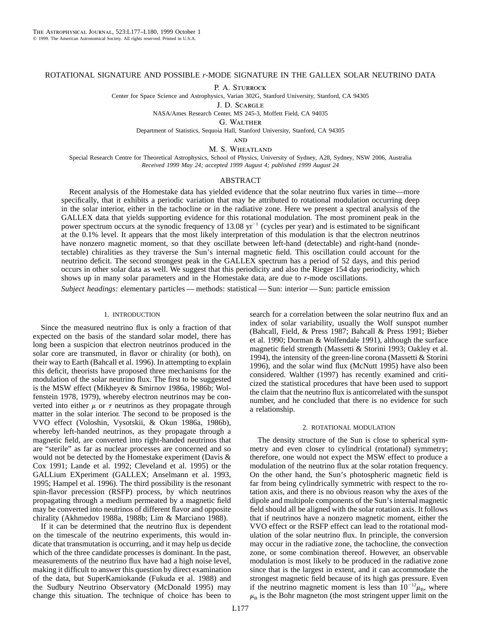# ROTATIONAL SIGNATURE AND POSSIBLE *r*-MODE SIGNATURE IN THE GALLEX SOLAR NEUTRINO DATA

P. A. STURROCK

Center for Space Science and Astrophysics, Varian 302G, Stanford University, Stanford, CA 94305

J. D. Scargle NASA/Ames Research Center, MS 245-3, Moffett Field, CA 94035

G. Walther

Department of Statistics, Sequoia Hall, Stanford University, Stanford, CA 94305

**AND** 

M. S. WHEATLAND

Special Research Centre for Theoretical Astrophysics, School of Physics, University of Sydney, A28, Sydney, NSW 2006, Australia *Received 1999 May 24; accepted 1999 August 4; published 1999 August 24*

# ABSTRACT

Recent analysis of the Homestake data has yielded evidence that the solar neutrino flux varies in time—more specifically, that it exhibits a periodic variation that may be attributed to rotational modulation occurring deep in the solar interior, either in the tachocline or in the radiative zone. Here we present a spectral analysis of the GALLEX data that yields supporting evidence for this rotational modulation. The most prominent peak in the power spectrum occurs at the synodic frequency of 13.08  $yr^{-1}$  (cycles per year) and is estimated to be significant at the 0.1% level. It appears that the most likely interpretation of this modulation is that the electron neutrinos have nonzero magnetic moment, so that they oscillate between left-hand (detectable) and right-hand (nondetectable) chiralities as they traverse the Sun's internal magnetic field. This oscillation could account for the neutrino deficit. The second strongest peak in the GALLEX spectrum has a period of 52 days, and this period occurs in other solar data as well. We suggest that this periodicity and also the Rieger 154 day periodicity, which shows up in many solar parameters and in the Homestake data, are due to *r*-mode oscillations.

*Subject headings:* elementary particles — methods: statistical — Sun: interior — Sun: particle emission

# 1. INTRODUCTION

Since the measured neutrino flux is only a fraction of that expected on the basis of the standard solar model, there has long been a suspicion that electron neutrinos produced in the solar core are transmuted, in flavor or chirality (or both), on their way to Earth (Bahcall et al. 1996). In attempting to explain this deficit, theorists have proposed three mechanisms for the modulation of the solar neutrino flux. The first to be suggested is the MSW effect (Mikheyev & Smirnov 1986a, 1986b; Wolfenstein 1978, 1979), whereby electron neutrinos may be converted into either  $\mu$  or  $\tau$  neutrinos as they propagate through matter in the solar interior. The second to be proposed is the VVO effect (Voloshin, Vysotskii, & Okun 1986a, 1986b), whereby left-handed neutrinos, as they propagate through a magnetic field, are converted into right-handed neutrinos that are "sterile" as far as nuclear processes are concerned and so would not be detected by the Homestake experiment (Davis & Cox 1991; Lande et al. 1992; Cleveland et al. 1995) or the GALLium EXperiment (GALLEX; Anselmann et al. 1993, 1995; Hampel et al. 1996). The third possibility is the resonant spin-flavor precession (RSFP) process, by which neutrinos propagating through a medium permeated by a magnetic field may be converted into neutrinos of different flavor and opposite chirality (Akhmedov 1988a, 1988b; Lim & Marciano 1988).

If it can be determined that the neutrino flux is dependent on the timescale of the neutrino experiments, this would indicate that transmutation is occurring, and it may help us decide which of the three candidate processes is dominant. In the past, measurements of the neutrino flux have had a high noise level, making it difficult to answer this question by direct examination of the data, but SuperKamiokande (Fukuda et al. 1988) and the Sudbury Neutrino Observatory (McDonald 1995) may change this situation. The technique of choice has been to

search for a correlation between the solar neutrino flux and an index of solar variability, usually the Wolf sunspot number (Bahcall, Field, & Press 1987; Bahcall & Press 1991; Bieber et al. 1990; Dorman & Wolfendale 1991), although the surface magnetic field strength (Massetti & Storini 1993; Oakley et al. 1994), the intensity of the green-line corona (Massetti & Storini 1996), and the solar wind flux (McNutt 1995) have also been considered. Walther (1997) has recently examined and criticized the statistical procedures that have been used to support the claim that the neutrino flux is anticorrelated with the sunspot number, and he concluded that there is no evidence for such a relationship.

#### 2. ROTATIONAL MODULATION

The density structure of the Sun is close to spherical symmetry and even closer to cylindrical (rotational) symmetry; therefore, one would not expect the MSW effect to produce a modulation of the neutrino flux at the solar rotation frequency. On the other hand, the Sun's photospheric magnetic field is far from being cylindrically symmetric with respect to the rotation axis, and there is no obvious reason why the axes of the dipole and multipole components of the Sun's internal magnetic field should all be aligned with the solar rotation axis. It follows that if neutrinos have a nonzero magnetic moment, either the VVO effect or the RSFP effect can lead to the rotational modulation of the solar neutrino flux. In principle, the conversion may occur in the radiative zone, the tachocline, the convection zone, or some combination thereof. However, an observable modulation is most likely to be produced in the radiative zone since that is the largest in extent, and it can accommodate the strongest magnetic field because of its high gas pressure. Even if the neutrino magnetic moment is less than  $10^{-12}\mu_{\rm B}$ , where  $\mu_{\rm B}$  is the Bohr magneton (the most stringent upper limit on the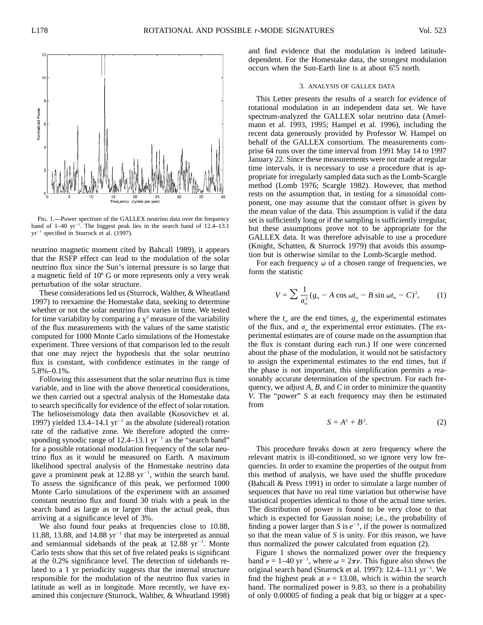

Fig. 1.—Power spectrum of the GALLEX neutrino data over the frequency band of  $1-40 \text{ yr}^{-1}$ . The biggest peak lies in the search band of  $12.4-13.1$  $yr^{-1}$  specified in Sturrock et al. (1997).

neutrino magnetic moment cited by Bahcall 1989), it appears that the RSFP effect can lead to the modulation of the solar neutrino flux since the Sun's internal pressure is so large that a magnetic field of  $10<sup>6</sup>$  G or more represents only a very weak perturbation of the solar structure.

These considerations led us (Sturrock, Walther, & Wheatland 1997) to reexamine the Homestake data, seeking to determine whether or not the solar neutrino flux varies in time. We tested for time variability by comparing a  $\chi^2$  measure of the variability of the flux measurements with the values of the same statistic computed for 1000 Monte Carlo simulations of the Homestake experiment. Three versions of that comparison led to the result that one may reject the hypothesis that the solar neutrino flux is constant, with confidence estimates in the range of 5.8%–0.1%.

Following this assessment that the solar neutrino flux is time variable, and in line with the above theoretical considerations, we then carried out a spectral analysis of the Homestake data to search specifically for evidence of the effect of solar rotation. The helioseismology data then available (Kosovichev et al. 1997) yielded 13.4–14.1  $yr^{-1}$  as the absolute (sidereal) rotation rate of the radiative zone. We therefore adopted the corresponding synodic range of 12.4–13.1  $yr^{-1}$  as the "search band" for a possible rotational modulation frequency of the solar neutrino flux as it would be measured on Earth. A maximum likelihood spectral analysis of the Homestake neutrino data gave a prominent peak at 12.88  $yr^{-1}$ , within the search band. To assess the significance of this peak, we performed 1000 Monte Carlo simulations of the experiment with an assumed constant neutrino flux and found 30 trials with a peak in the search band as large as or larger than the actual peak, thus arriving at a significance level of 3%.

We also found four peaks at frequencies close to 10.88, 11.88, 13.88, and 14.88  $yr^{-1}$  that may be interpreted as annual and semiannual sidebands of the peak at  $12.88 \text{ yr}^{-1}$ . Monte Carlo tests show that this set of five related peaks is significant at the 0.2% significance level. The detection of sidebands related to a 1 yr periodicity suggests that the internal structure responsible for the modulation of the neutrino flux varies in latitude as well as in longitude. More recently, we have examined this conjecture (Sturrock, Walther, & Wheatland 1998)

and find evidence that the modulation is indeed latitudedependent. For the Homestake data, the strongest modulation occurs when the Sun-Earth line is at about 6°.5 north.

# 3. ANALYSIS OF GALLEX DATA

This Letter presents the results of a search for evidence of rotational modulation in an independent data set. We have spectrum-analyzed the GALLEX solar neutrino data (Anselmann et al. 1993, 1995; Hampel et al. 1996), including the recent data generously provided by Professor W. Hampel on behalf of the GALLEX consortium. The measurements comprise 64 runs over the time interval from 1991 May 14 to 1997 January 22. Since these measurements were not made at regular time intervals, it is necessary to use a procedure that is appropriate for irregularly sampled data such as the Lomb-Scargle method (Lomb 1976; Scargle 1982). However, that method rests on the assumption that, in testing for a sinusoidal component, one may assume that the constant offset is given by the mean value of the data. This assumption is valid if the data set is sufficiently long or if the sampling is sufficiently irregular, but these assumptions prove not to be appropriate for the GALLEX data. It was therefore advisable to use a procedure (Knight, Schatten, & Sturrock 1979) that avoids this assumption but is otherwise similar to the Lomb-Scargle method.

For each frequency  $\omega$  of a chosen range of frequencies, we form the statistic

$$
V = \sum \frac{1}{\sigma_{\alpha}^2} (g_{\alpha} - A \cos \omega t_{\alpha} - B \sin \omega t_{\alpha} - C)^2, \qquad (1)
$$

where the  $t_{\alpha}$  are the end times,  $g_{\alpha}$  the experimental estimates of the flux, and  $\sigma_{\alpha}$  the experimental error estimates. (The experimental estimates are of course made on the assumption that the flux is constant during each run.) If one were concerned about the phase of the modulation, it would not be satisfactory to assign the experimental estimates to the end times, but if the phase is not important, this simplification permits a reasonably accurate determination of the spectrum. For each frequency, we adjust *A*, *B*, and *C* in order to minimize the quantity *V*. The "power" *S* at each frequency may then be estimated from

$$
S = A^2 + B^2. \tag{2}
$$

This procedure breaks down at zero frequency where the relevant matrix is ill-conditioned, so we ignore very low frequencies. In order to examine the properties of the output from this method of analysis, we have used the shuffle procedure (Bahcall & Press 1991) in order to simulate a large number of sequences that have no real time variation but otherwise have statistical properties identical to those of the actual time series. The distribution of power is found to be very close to that which is expected for Gaussian noise; i.e., the probability of finding a power larger than *S* is  $e^{-s}$ , if the power is normalized so that the mean value of *S* is unity. For this reason, we have thus normalized the power calculated from equation (2).

Figure 1 shows the normalized power over the frequency band  $\nu = 1-40$  yr<sup>-1</sup>, where  $\omega = 2\pi\nu$ . This figure also shows the original search band (Sturrock et al. 1997):  $12.4-13.1$  yr<sup>-1</sup>. We find the highest peak at  $\nu = 13.08$ , which is within the search band. The normalized power is 9.83, so there is a probability of only 0.00005 of finding a peak that big or bigger at a spec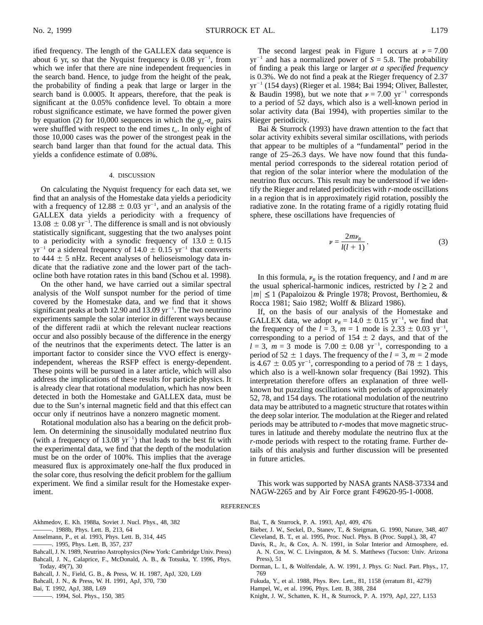ified frequency. The length of the GALLEX data sequence is about 6 yr, so that the Nyquist frequency is  $0.08 \text{ yr}^{-1}$ , from which we infer that there are nine independent frequencies in the search band. Hence, to judge from the height of the peak, the probability of finding a peak that large or larger in the search band is 0.0005. It appears, therefore, that the peak is significant at the 0.05% confidence level. To obtain a more robust significance estimate, we have formed the power given by equation (2) for 10,000 sequences in which the  $g_{\alpha}$ - $\sigma_{\alpha}$  pairs were shuffled with respect to the end times  $t_{\alpha}$ . In only eight of those 10,000 cases was the power of the strongest peak in the search band larger than that found for the actual data. This yields a confidence estimate of 0.08%.

### 4. DISCUSSION

On calculating the Nyquist frequency for each data set, we find that an analysis of the Homestake data yields a periodicity with a frequency of  $12.88 \pm 0.03$  yr<sup>-1</sup>, and an analysis of the GALLEX data yields a periodicity with a frequency of  $13.08 \pm 0.08$  yr<sup>-1</sup>. The difference is small and is not obviously statistically significant, suggesting that the two analyses point to a periodicity with a synodic frequency of  $13.0 \pm 0.15$  $yr^{-1}$  or a sidereal frequency of 14.0  $\pm$  0.15  $yr^{-1}$  that converts to  $444 \pm 5$  nHz. Recent analyses of helioseismology data indicate that the radiative zone and the lower part of the tachocline both have rotation rates in this band (Schou et al. 1998).

On the other hand, we have carried out a similar spectral analysis of the Wolf sunspot number for the period of time covered by the Homestake data, and we find that it shows significant peaks at both 12.90 and 13.09  $yr^{-1}$ . The two neutrino experiments sample the solar interior in different ways because of the different radii at which the relevant nuclear reactions occur and also possibly because of the difference in the energy of the neutrinos that the experiments detect. The latter is an important factor to consider since the VVO effect is energyindependent, whereas the RSFP effect is energy-dependent. These points will be pursued in a later article, which will also address the implications of these results for particle physics. It is already clear that rotational modulation, which has now been detected in both the Homestake and GALLEX data, must be due to the Sun's internal magnetic field and that this effect can occur only if neutrinos have a nonzero magnetic moment.

Rotational modulation also has a bearing on the deficit problem. On determining the sinusoidally modulated neutrino flux (with a frequency of 13.08  $yr^{-1}$ ) that leads to the best fit with the experimental data, we find that the depth of the modulation must be on the order of 100%. This implies that the average measured flux is approximately one-half the flux produced in the solar core, thus resolving the deficit problem for the gallium experiment. We find a similar result for the Homestake experiment.

The second largest peak in Figure 1 occurs at  $\nu = 7.00$  $yr^{-1}$  and has a normalized power of  $S = 5.8$ . The probability of finding a peak this large or larger *at a specified frequency* is 0.3%. We do not find a peak at the Rieger frequency of 2.37  $yr^{-1}$  (154 days) (Rieger et al. 1984; Bai 1994; Oliver, Ballester, & Baudin 1998), but we note that  $\nu = 7.00 \text{ yr}^{-1}$  corresponds to a period of 52 days, which also is a well-known period in solar activity data (Bai 1994), with properties similar to the Rieger periodicity.

Bai & Sturrock (1993) have drawn attention to the fact that solar activity exhibits several similar oscillations, with periods that appear to be multiples of a "fundamental" period in the range of 25–26.3 days. We have now found that this fundamental period corresponds to the sidereal rotation period of that region of the solar interior where the modulation of the neutrino flux occurs. This result may be understood if we identify the Rieger and related periodicities with *r*-mode oscillations in a region that is in approximately rigid rotation, possibly the radiative zone. In the rotating frame of a rigidly rotating fluid sphere, these oscillations have frequencies of

$$
\nu = \frac{2m\nu_R}{l(l+1)}.\tag{3}
$$

In this formula,  $v_R$  is the rotation frequency, and *l* and *m* are the usual spherical-harmonic indices, restricted by  $l \geq 2$  and  $|m|$  ≤ 1 (Papaloizou & Pringle 1978; Provost, Berthomieu, & Rocca 1981; Saio 1982; Wolff & Blizard 1986).

If, on the basis of our analysis of the Homestake and GALLEX data, we adopt  $v_R = 14.0 \pm 0.15$  yr<sup>-1</sup>, we find that the frequency of the  $l = 3$ ,  $m = 1$  mode is 2.33  $\pm$  0.03 yr<sup>-1</sup>, corresponding to a period of  $154 \pm 2$  days, and that of the  $l = 3$ ,  $m = 3$  mode is 7.00  $\pm$  0.08 yr<sup>-1</sup>, corresponding to a period of 52  $\pm$  1 days. The frequency of the  $l = 3$ ,  $m = 2$  mode is 4.67  $\pm$  0.05 yr<sup>-1</sup>, corresponding to a period of 78  $\pm$  1 days, which also is a well-known solar frequency (Bai 1992). This interpretation therefore offers an explanation of three wellknown but puzzling oscillations with periods of approximately 52, 78, and 154 days. The rotational modulation of the neutrino data may be attributed to a magnetic structure that rotates within the deep solar interior. The modulation at the Rieger and related periods may be attributed to *r*-modes that move magnetic structures in latitude and thereby modulate the neutrino flux at the *r*-mode periods with respect to the rotating frame. Further details of this analysis and further discussion will be presented in future articles.

This work was supported by NASA grants NAS8-37334 and NAGW-2265 and by Air Force grant F49620-95-1-0008.

## REFERENCES

- Akhmedov, E. Kh. 1988a, Soviet J. Nucl. Phys., 48, 382
- ———. 1988b, Phys. Lett. B, 213, 64
- Anselmann, P., et al. 1993, Phys. Lett. B, 314, 445
- ———. 1995, Phys. Lett. B, 357, 237
- Bahcall, J. N. 1989, Neutrino Astrophysics (New York: Cambridge Univ. Press)
- Bahcall, J. N., Calaprice, F., McDonald, A. B., & Totsuka, Y. 1996, Phys. Today, 49(7), 30
- Bahcall, J. N., Field, G. B., & Press, W. H. 1987, ApJ, 320, L69
- Bahcall, J. N., & Press, W. H. 1991, ApJ, 370, 730
- Bai, T. 1992, ApJ, 388, L69
- ———. 1994, Sol. Phys., 150, 385

Bai, T., & Sturrock, P. A. 1993, ApJ, 409, 476

- Bieber, J. W., Seckel, D., Stanev, T., & Steigman, G. 1990, Nature, 348, 407
- Cleveland, B. T., et al. 1995, Proc. Nucl. Phys. B (Proc. Suppl.), 38, 47
- Davis, R., Jr., & Cox, A. N. 1991, in Solar Interior and Atmosphere, ed. A. N. Cox, W. C. Livingston, & M. S. Matthews (Tucson: Univ. Arizona Press), 51
- Dorman, L. I., & Wolfendale, A. W. 1991, J. Phys. G: Nucl. Part. Phys., 17, 769
- Fukuda, Y., et al. 1988, Phys. Rev. Lett., 81, 1158 (erratum 81, 4279)
- Hampel, W., et al. 1996, Phys. Lett. B, 388, 284
- Knight, J. W., Schatten, K. H., & Sturrock, P. A. 1979, ApJ, 227, L153